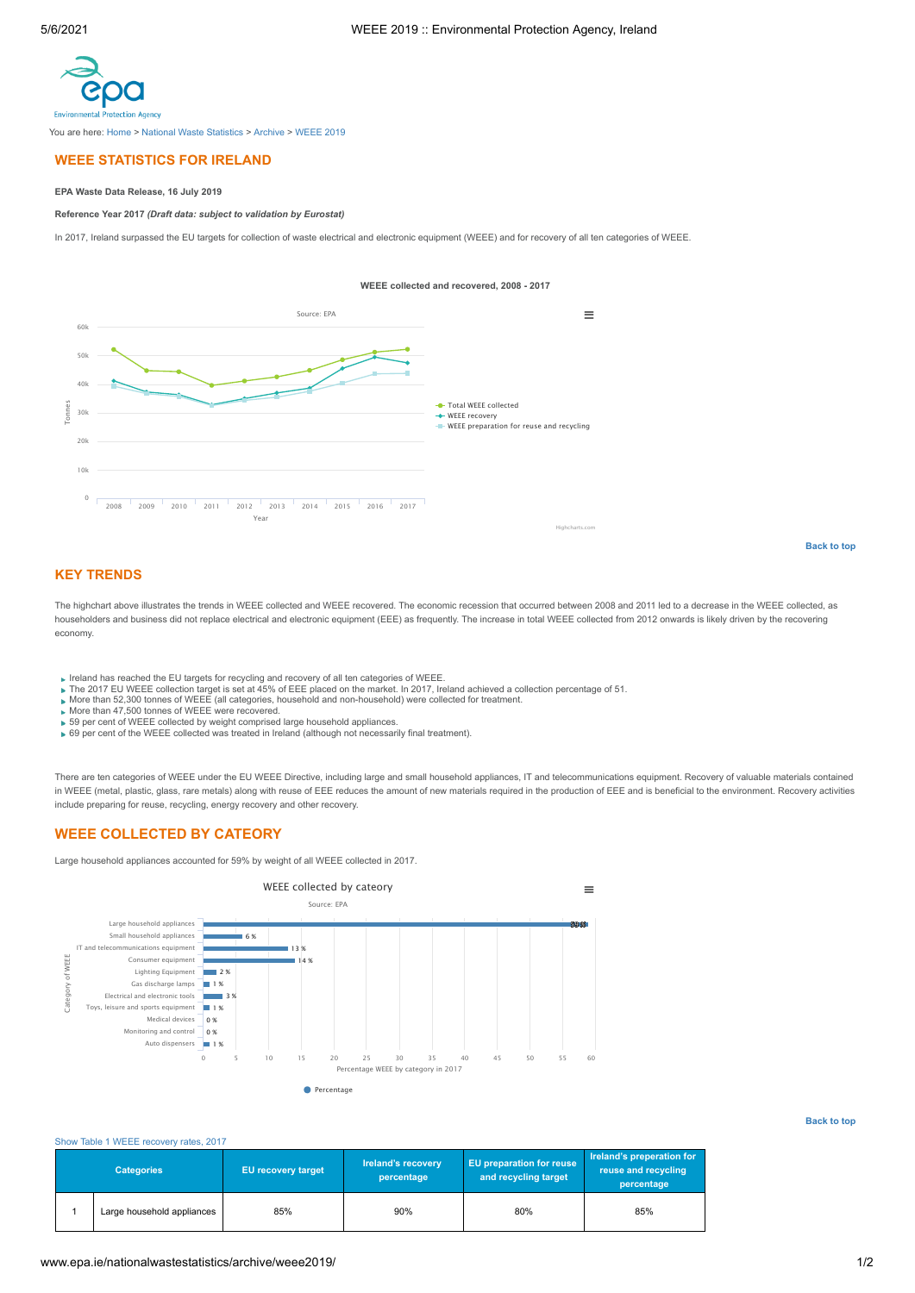<span id="page-0-0"></span>

You are here: [Home](http://www.epa.ie/) > [National Waste Statistics](http://www.epa.ie/nationalwastestatistics/) > [Archive](http://www.epa.ie/nationalwastestatistics/archive/) > [WEEE 2019](http://www.epa.ie/nationalwastestatistics/archive/weee2019/)

# **WEEE STATISTICS FOR IRELAND**

## **EPA Waste Data Release, 16 July 2019**

**Reference Year 2017** *(Draft data: subject to validation by Eurostat)*

In 2017, Ireland surpassed the EU targets for collection of waste electrical and electronic equipment (WEEE) and for recovery of all ten categories of WEEE.



# **KEY TRENDS**

The highchart above illustrates the trends in WEEE collected and WEEE recovered. The economic recession that occurred between 2008 and 2011 led to a decrease in the WEEE collected, as householders and business did not replace electrical and electronic equipment (EEE) as frequently. The increase in total WEEE collected from 2012 onwards is likely driven by the recovering economy.

- 
- Ireland has reached the EU targets for recycling and recovery of all ten categories of WEEE.<br>The 2017 EU WEEE collection target is set at 45% of EEE placed on the market. In 2017, Ireland achieved a collection percentage o
- 
- 
- 59 per cent of WEEE collected by weight comprised large household appliances. 69 per cent of the WEEE collected was treated in Ireland (although not necessarily final treatment).

There are ten categories of WEEE under the EU WEEE Directive, including large and small household appliances, IT and telecommunications equipment. Recovery of valuable materials contained in WEEE (metal, plastic, glass, rare metals) along with reuse of EEE reduces the amount of new materials required in the production of EEE and is beneficial to the environment. Recovery activities include preparing for reuse, recycling, energy recovery and other recovery.

# **WEEE COLLECTED BY CATEORY**

Large household appliances accounted for 59% by weight of all WEEE collected in 2017.



### **[Back to top](#page-0-0)**

**[Back to top](#page-0-0)**

### [Show Table 1 WEEE recovery rates, 2017](#page-0-1)

<span id="page-0-1"></span>

| <b>Categories</b> |                            | <b>EU recovery target</b> | Ireland's recovery<br>percentage | <b>EU</b> preparation for reuse<br>and recycling target | Ireland's preperation for<br>reuse and recycling |
|-------------------|----------------------------|---------------------------|----------------------------------|---------------------------------------------------------|--------------------------------------------------|
|                   | Large household appliances | 85%                       | 90%                              | 80%                                                     | percentage<br>85%                                |